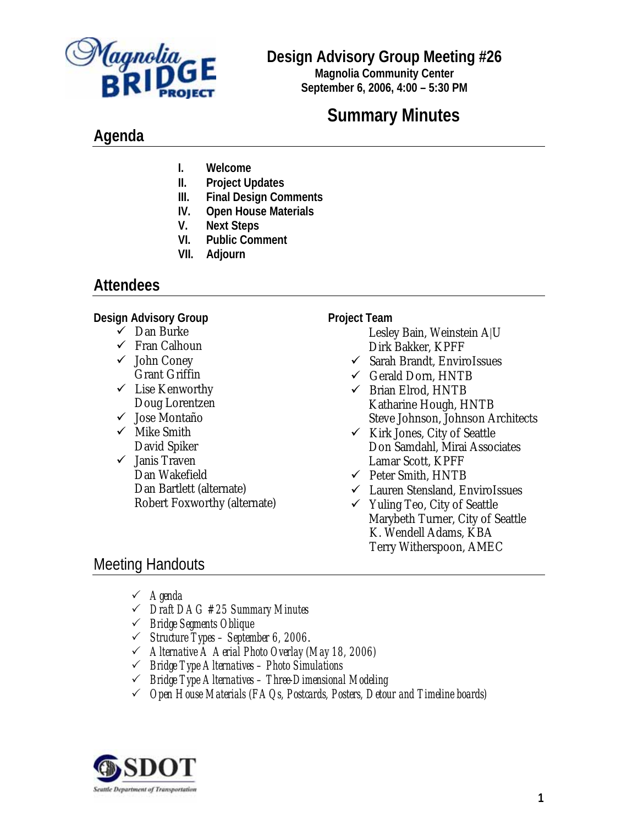

# **Design Advisory Group Meeting #26**

**Magnolia Community Center September 6, 2006, 4:00 – 5:30 PM**

# **Summary Minutes**

# **Agenda**

- **I. Welcome**
- **II. Project Updates**
- **III. Final Design Comments**
- **IV. Open House Materials**
- **V. Next Steps**
- **VI. Public Comment**
- **VII. Adjourn**

### **Attendees**

#### **Design Advisory Group**

- $\checkmark$  Dan Burke
- $\checkmark$  Fran Calhoun
- $\checkmark$  John Coney Grant Griffin
- $\checkmark$  Lise Kenworthy Doug Lorentzen
- $\checkmark$  Jose Montaño
- $\checkmark$  Mike Smith David Spiker
- $\checkmark$  Janis Traven Dan Wakefield Dan Bartlett (alternate) Robert Foxworthy (alternate)

#### **Project Team**

- Lesley Bain, Weinstein A|U Dirk Bakker, KPFF
- $\checkmark$  Sarah Brandt, EnviroIssues
- $\checkmark$  Gerald Dorn, HNTB
- $\checkmark$  Brian Elrod, HNTB Katharine Hough, HNTB Steve Johnson, Johnson Architects
- $\checkmark$  Kirk Jones, City of Seattle Don Samdahl, Mirai Associates Lamar Scott, KPFF
- $\checkmark$  Peter Smith, HNTB
- 9 Lauren Stensland, EnviroIssues
- $\checkmark$  Yuling Teo, City of Seattle Marybeth Turner, City of Seattle K. Wendell Adams, KBA Terry Witherspoon, AMEC

# Meeting Handouts

- 3 *Agenda*
- 3 *Draft DAG #25 Summary Minutes*
- 3 *Bridge Segments Oblique*
- 3 *Structure Types September 6, 2006*.
- 3 *Alternative A Aerial Photo Overlay (May 18, 2006)*
- 3 *Bridge Type Alternatives Photo Simulations*
- 3 *Bridge Type Alternatives Three-Dimensional Modeling*
- 3 *Open House Materials (FAQs, Postcards, Posters, Detour and Timeline boards)*

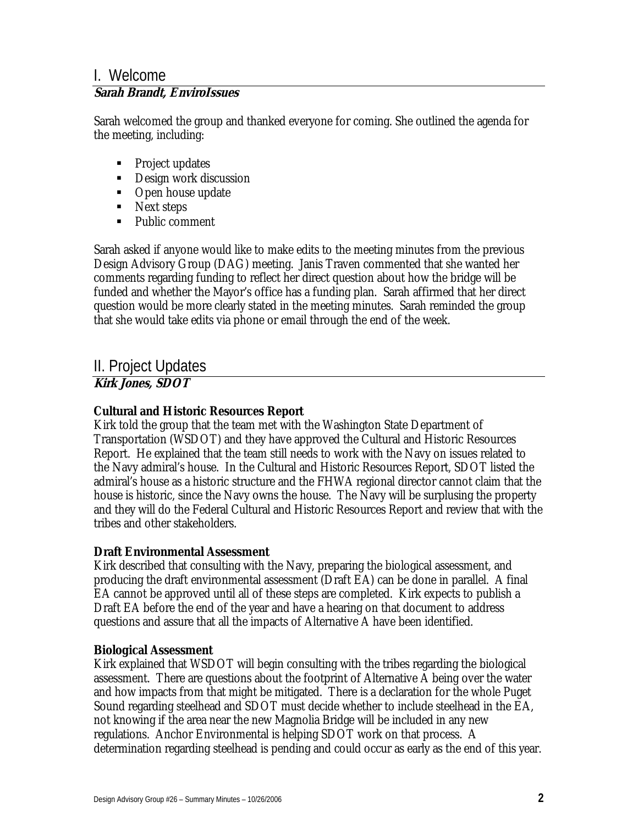#### I. Welcome **Sarah Brandt, EnviroIssues**

Sarah welcomed the group and thanked everyone for coming. She outlined the agenda for the meeting, including:

- **Project updates**
- Design work discussion
- Open house update
- Next steps
- Public comment

Sarah asked if anyone would like to make edits to the meeting minutes from the previous Design Advisory Group (DAG) meeting. Janis Traven commented that she wanted her comments regarding funding to reflect her direct question about how the bridge will be funded and whether the Mayor's office has a funding plan. Sarah affirmed that her direct question would be more clearly stated in the meeting minutes. Sarah reminded the group that she would take edits via phone or email through the end of the week.

## II. Project Updates

### **Kirk Jones, SDOT**

#### **Cultural and Historic Resources Report**

Kirk told the group that the team met with the Washington State Department of Transportation (WSDOT) and they have approved the Cultural and Historic Resources Report. He explained that the team still needs to work with the Navy on issues related to the Navy admiral's house. In the Cultural and Historic Resources Report, SDOT listed the admiral's house as a historic structure and the FHWA regional director cannot claim that the house is historic, since the Navy owns the house. The Navy will be surplusing the property and they will do the Federal Cultural and Historic Resources Report and review that with the tribes and other stakeholders.

#### **Draft Environmental Assessment**

Kirk described that consulting with the Navy, preparing the biological assessment, and producing the draft environmental assessment (Draft EA) can be done in parallel. A final EA cannot be approved until all of these steps are completed. Kirk expects to publish a Draft EA before the end of the year and have a hearing on that document to address questions and assure that all the impacts of Alternative A have been identified.

#### **Biological Assessment**

Kirk explained that WSDOT will begin consulting with the tribes regarding the biological assessment. There are questions about the footprint of Alternative A being over the water and how impacts from that might be mitigated. There is a declaration for the whole Puget Sound regarding steelhead and SDOT must decide whether to include steelhead in the EA, not knowing if the area near the new Magnolia Bridge will be included in any new regulations. Anchor Environmental is helping SDOT work on that process. A determination regarding steelhead is pending and could occur as early as the end of this year.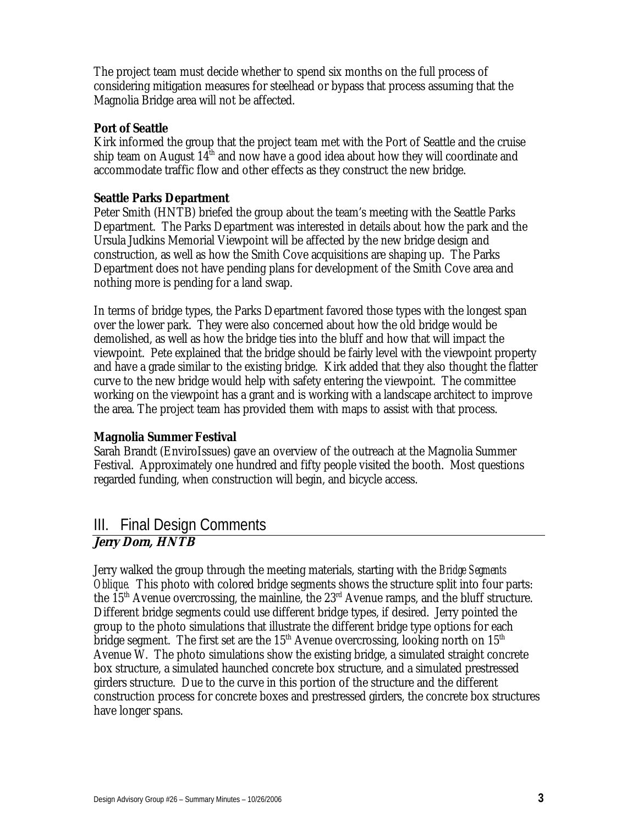The project team must decide whether to spend six months on the full process of considering mitigation measures for steelhead or bypass that process assuming that the Magnolia Bridge area will not be affected.

#### **Port of Seattle**

Kirk informed the group that the project team met with the Port of Seattle and the cruise ship team on August 14<sup>th</sup> and now have a good idea about how they will coordinate and accommodate traffic flow and other effects as they construct the new bridge.

#### **Seattle Parks Department**

Peter Smith (HNTB) briefed the group about the team's meeting with the Seattle Parks Department. The Parks Department was interested in details about how the park and the Ursula Judkins Memorial Viewpoint will be affected by the new bridge design and construction, as well as how the Smith Cove acquisitions are shaping up. The Parks Department does not have pending plans for development of the Smith Cove area and nothing more is pending for a land swap.

In terms of bridge types, the Parks Department favored those types with the longest span over the lower park. They were also concerned about how the old bridge would be demolished, as well as how the bridge ties into the bluff and how that will impact the viewpoint. Pete explained that the bridge should be fairly level with the viewpoint property and have a grade similar to the existing bridge. Kirk added that they also thought the flatter curve to the new bridge would help with safety entering the viewpoint. The committee working on the viewpoint has a grant and is working with a landscape architect to improve the area. The project team has provided them with maps to assist with that process.

#### **Magnolia Summer Festival**

Sarah Brandt (EnviroIssues) gave an overview of the outreach at the Magnolia Summer Festival. Approximately one hundred and fifty people visited the booth. Most questions regarded funding, when construction will begin, and bicycle access.

# III. Final Design Comments

### **Jerry Dorn, HNTB**

Jerry walked the group through the meeting materials, starting with the *Bridge Segments Oblique.* This photo with colored bridge segments shows the structure split into four parts: the  $15<sup>th</sup>$  Avenue overcrossing, the mainline, the  $23<sup>rd</sup>$  Avenue ramps, and the bluff structure. Different bridge segments could use different bridge types, if desired. Jerry pointed the group to the photo simulations that illustrate the different bridge type options for each bridge segment. The first set are the  $15<sup>th</sup>$  Avenue overcrossing, looking north on  $15<sup>th</sup>$ Avenue W. The photo simulations show the existing bridge, a simulated straight concrete box structure, a simulated haunched concrete box structure, and a simulated prestressed girders structure. Due to the curve in this portion of the structure and the different construction process for concrete boxes and prestressed girders, the concrete box structures have longer spans.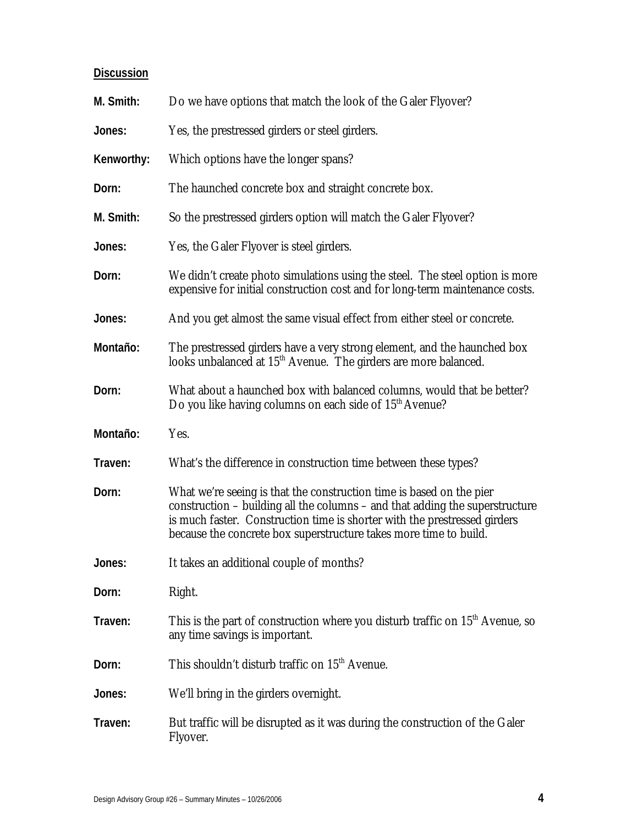### **Discussion**

| M. Smith:  | Do we have options that match the look of the Galer Flyover?                                                                                                                                                                                                                                           |
|------------|--------------------------------------------------------------------------------------------------------------------------------------------------------------------------------------------------------------------------------------------------------------------------------------------------------|
| Jones:     | Yes, the prestressed girders or steel girders.                                                                                                                                                                                                                                                         |
| Kenworthy: | Which options have the longer spans?                                                                                                                                                                                                                                                                   |
| Dorn:      | The haunched concrete box and straight concrete box.                                                                                                                                                                                                                                                   |
| M. Smith:  | So the prestressed girders option will match the Galer Flyover?                                                                                                                                                                                                                                        |
| Jones:     | Yes, the Galer Flyover is steel girders.                                                                                                                                                                                                                                                               |
| Dorn:      | We didn't create photo simulations using the steel. The steel option is more<br>expensive for initial construction cost and for long-term maintenance costs.                                                                                                                                           |
| Jones:     | And you get almost the same visual effect from either steel or concrete.                                                                                                                                                                                                                               |
| Montaño:   | The prestressed girders have a very strong element, and the haunched box<br>looks unbalanced at 15 <sup>th</sup> Avenue. The girders are more balanced.                                                                                                                                                |
| Dorn:      | What about a haunched box with balanced columns, would that be better?<br>Do you like having columns on each side of 15 <sup>th</sup> Avenue?                                                                                                                                                          |
| Montaño:   | Yes.                                                                                                                                                                                                                                                                                                   |
| Traven:    | What's the difference in construction time between these types?                                                                                                                                                                                                                                        |
| Dorn:      |                                                                                                                                                                                                                                                                                                        |
|            | What we're seeing is that the construction time is based on the pier<br>construction - building all the columns - and that adding the superstructure<br>is much faster. Construction time is shorter with the prestressed girders<br>because the concrete box superstructure takes more time to build. |
| Jones:     | It takes an additional couple of months?                                                                                                                                                                                                                                                               |
| Dorn:      | Right.                                                                                                                                                                                                                                                                                                 |
| Traven:    | This is the part of construction where you disturb traffic on $15th$ Avenue, so<br>any time savings is important.                                                                                                                                                                                      |
| Dorn:      | This shouldn't disturb traffic on 15 <sup>th</sup> Avenue.                                                                                                                                                                                                                                             |
| Jones:     | We'll bring in the girders overnight.                                                                                                                                                                                                                                                                  |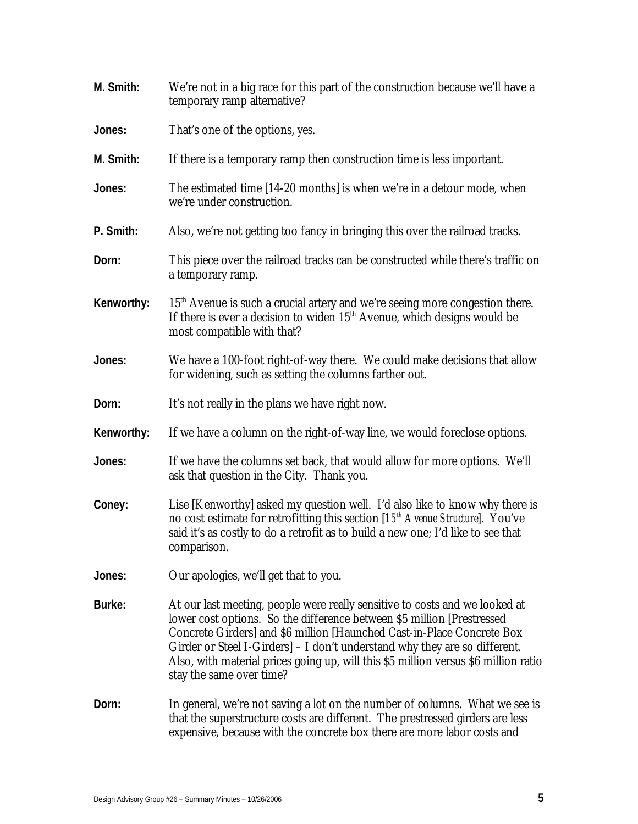| M. Smith:  | We're not in a big race for this part of the construction because we'll have a<br>temporary ramp alternative?                                                                                                                                                                                                                                                                                                                    |
|------------|----------------------------------------------------------------------------------------------------------------------------------------------------------------------------------------------------------------------------------------------------------------------------------------------------------------------------------------------------------------------------------------------------------------------------------|
| Jones:     | That's one of the options, yes.                                                                                                                                                                                                                                                                                                                                                                                                  |
| M. Smith:  | If there is a temporary ramp then construction time is less important.                                                                                                                                                                                                                                                                                                                                                           |
| Jones:     | The estimated time [14-20 months] is when we're in a detour mode, when<br>we're under construction.                                                                                                                                                                                                                                                                                                                              |
| P. Smith:  | Also, we're not getting too fancy in bringing this over the railroad tracks.                                                                                                                                                                                                                                                                                                                                                     |
| Dorn:      | This piece over the railroad tracks can be constructed while there's traffic on<br>a temporary ramp.                                                                                                                                                                                                                                                                                                                             |
| Kenworthy: | 15 <sup>th</sup> Avenue is such a crucial artery and we're seeing more congestion there.<br>If there is ever a decision to widen 15 <sup>th</sup> Avenue, which designs would be<br>most compatible with that?                                                                                                                                                                                                                   |
| Jones:     | We have a 100-foot right-of-way there. We could make decisions that allow<br>for widening, such as setting the columns farther out.                                                                                                                                                                                                                                                                                              |
| Dorn:      | It's not really in the plans we have right now.                                                                                                                                                                                                                                                                                                                                                                                  |
| Kenworthy: | If we have a column on the right-of-way line, we would foreclose options.                                                                                                                                                                                                                                                                                                                                                        |
| Jones:     | If we have the columns set back, that would allow for more options. We'll<br>ask that question in the City. Thank you.                                                                                                                                                                                                                                                                                                           |
| Coney:     | Lise [Kenworthy] asked my question well. I'd also like to know why there is<br>no cost estimate for retrofitting this section $[15th A$ venue Structure]. You've<br>said it's as costly to do a retrofit as to build a new one; I'd like to see that<br>comparison.                                                                                                                                                              |
| Jones:     | Our apologies, we'll get that to you.                                                                                                                                                                                                                                                                                                                                                                                            |
| Burke:     | At our last meeting, people were really sensitive to costs and we looked at<br>lower cost options. So the difference between \$5 million [Prestressed<br>Concrete Girders] and \$6 million [Haunched Cast-in-Place Concrete Box<br>Girder or Steel I-Girders] - I don't understand why they are so different.<br>Also, with material prices going up, will this \$5 million versus \$6 million ratio<br>stay the same over time? |
| Dorn:      | In general, we're not saving a lot on the number of columns. What we see is<br>that the superstructure costs are different. The prestressed girders are less<br>expensive, because with the concrete box there are more labor costs and                                                                                                                                                                                          |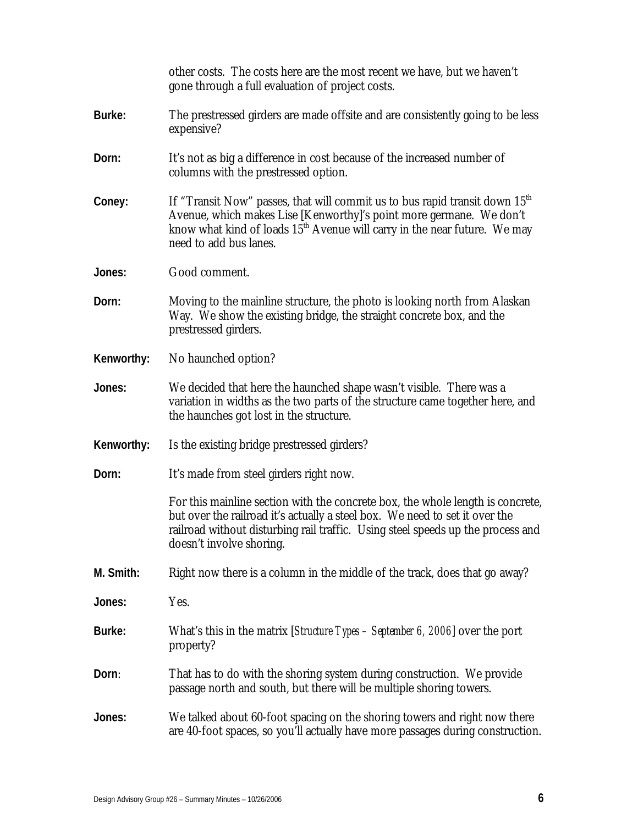|            | other costs. The costs here are the most recent we have, but we haven't<br>gone through a full evaluation of project costs.                                                                                                                                                  |
|------------|------------------------------------------------------------------------------------------------------------------------------------------------------------------------------------------------------------------------------------------------------------------------------|
| Burke:     | The prestressed girders are made offsite and are consistently going to be less<br>expensive?                                                                                                                                                                                 |
| Dorn:      | It's not as big a difference in cost because of the increased number of<br>columns with the prestressed option.                                                                                                                                                              |
| Coney:     | If "Transit Now" passes, that will commit us to bus rapid transit down $15th$<br>Avenue, which makes Lise [Kenworthy]'s point more germane. We don't<br>know what kind of loads 15 <sup>th</sup> Avenue will carry in the near future. We may<br>need to add bus lanes.      |
| Jones:     | Good comment.                                                                                                                                                                                                                                                                |
| Dorn:      | Moving to the mainline structure, the photo is looking north from Alaskan<br>Way. We show the existing bridge, the straight concrete box, and the<br>prestressed girders.                                                                                                    |
| Kenworthy: | No haunched option?                                                                                                                                                                                                                                                          |
| Jones:     | We decided that here the haunched shape wasn't visible. There was a<br>variation in widths as the two parts of the structure came together here, and<br>the haunches got lost in the structure.                                                                              |
| Kenworthy: | Is the existing bridge prestressed girders?                                                                                                                                                                                                                                  |
| Dorn:      | It's made from steel girders right now.                                                                                                                                                                                                                                      |
|            | For this mainline section with the concrete box, the whole length is concrete,<br>but over the railroad it's actually a steel box. We need to set it over the<br>railroad without disturbing rail traffic. Using steel speeds up the process and<br>doesn't involve shoring. |
| M. Smith:  | Right now there is a column in the middle of the track, does that go away?                                                                                                                                                                                                   |
| Jones:     | Yes.                                                                                                                                                                                                                                                                         |
| Burke:     | What's this in the matrix [ <i>Structure Types – September 6, 2006</i> ] over the port<br>property?                                                                                                                                                                          |
| Dorn:      | That has to do with the shoring system during construction. We provide<br>passage north and south, but there will be multiple shoring towers.                                                                                                                                |
| Jones:     | We talked about 60-foot spacing on the shoring towers and right now there<br>are 40-foot spaces, so you'll actually have more passages during construction.                                                                                                                  |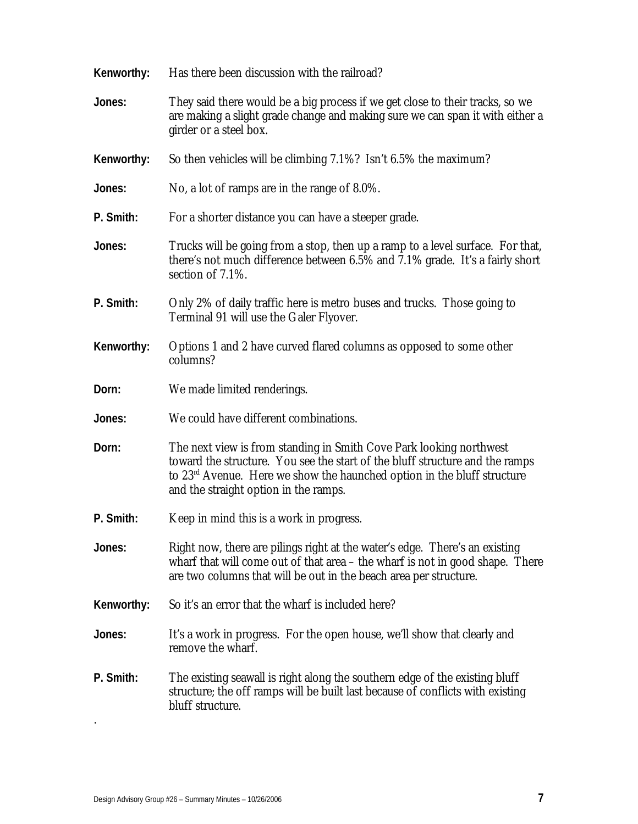| Kenworthy: | Has there been discussion with the railroad?                                                                                                                                                                                                                              |
|------------|---------------------------------------------------------------------------------------------------------------------------------------------------------------------------------------------------------------------------------------------------------------------------|
| Jones:     | They said there would be a big process if we get close to their tracks, so we<br>are making a slight grade change and making sure we can span it with either a<br>girder or a steel box.                                                                                  |
| Kenworthy: | So then vehicles will be climbing 7.1%? Isn't 6.5% the maximum?                                                                                                                                                                                                           |
| Jones:     | No, a lot of ramps are in the range of 8.0%.                                                                                                                                                                                                                              |
| P. Smith:  | For a shorter distance you can have a steeper grade.                                                                                                                                                                                                                      |
| Jones:     | Trucks will be going from a stop, then up a ramp to a level surface. For that,<br>there's not much difference between 6.5% and 7.1% grade. It's a fairly short<br>section of 7.1%.                                                                                        |
| P. Smith:  | Only 2% of daily traffic here is metro buses and trucks. Those going to<br>Terminal 91 will use the Galer Flyover.                                                                                                                                                        |
| Kenworthy: | Options 1 and 2 have curved flared columns as opposed to some other<br>columns?                                                                                                                                                                                           |
| Dorn:      | We made limited renderings.                                                                                                                                                                                                                                               |
| Jones:     | We could have different combinations.                                                                                                                                                                                                                                     |
| Dorn:      | The next view is from standing in Smith Cove Park looking northwest<br>toward the structure. You see the start of the bluff structure and the ramps<br>to $23rd$ Avenue. Here we show the haunched option in the bluff structure<br>and the straight option in the ramps. |
| P. Smith:  | Keep in mind this is a work in progress.                                                                                                                                                                                                                                  |
| Jones:     | Right now, there are pilings right at the water's edge. There's an existing<br>wharf that will come out of that area – the wharf is not in good shape. There<br>are two columns that will be out in the beach area per structure.                                         |
| Kenworthy: | So it's an error that the wharf is included here?                                                                                                                                                                                                                         |
| Jones:     | It's a work in progress. For the open house, we'll show that clearly and<br>remove the wharf.                                                                                                                                                                             |
| P. Smith:  | The existing seawall is right along the southern edge of the existing bluff<br>structure; the off ramps will be built last because of conflicts with existing<br>bluff structure.                                                                                         |

.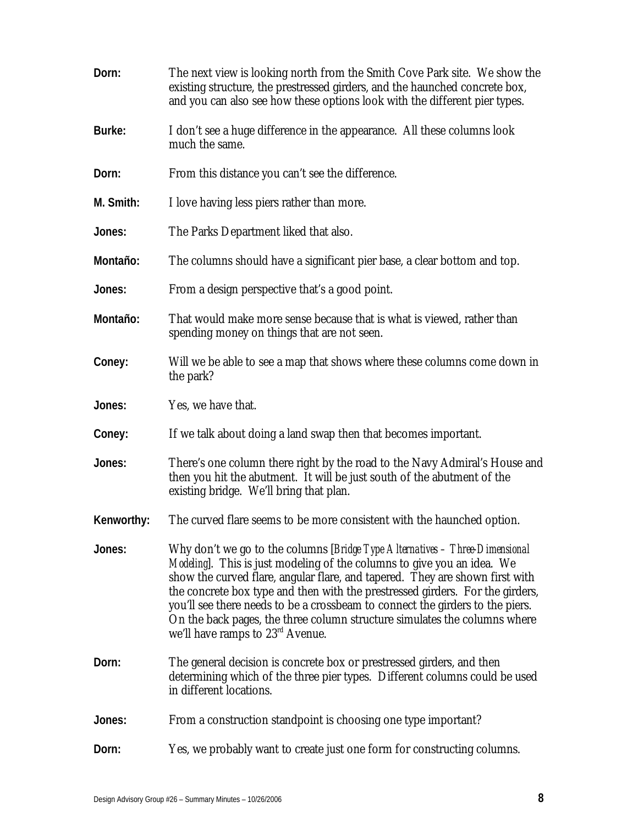| Dorn:      | The next view is looking north from the Smith Cove Park site. We show the<br>existing structure, the prestressed girders, and the haunched concrete box,<br>and you can also see how these options look with the different pier types.                                                                                                                                                                                                                                                                                                         |
|------------|------------------------------------------------------------------------------------------------------------------------------------------------------------------------------------------------------------------------------------------------------------------------------------------------------------------------------------------------------------------------------------------------------------------------------------------------------------------------------------------------------------------------------------------------|
| Burke:     | I don't see a huge difference in the appearance. All these columns look<br>much the same.                                                                                                                                                                                                                                                                                                                                                                                                                                                      |
| Dorn:      | From this distance you can't see the difference.                                                                                                                                                                                                                                                                                                                                                                                                                                                                                               |
| M. Smith:  | I love having less piers rather than more.                                                                                                                                                                                                                                                                                                                                                                                                                                                                                                     |
| Jones:     | The Parks Department liked that also.                                                                                                                                                                                                                                                                                                                                                                                                                                                                                                          |
| Montaño:   | The columns should have a significant pier base, a clear bottom and top.                                                                                                                                                                                                                                                                                                                                                                                                                                                                       |
| Jones:     | From a design perspective that's a good point.                                                                                                                                                                                                                                                                                                                                                                                                                                                                                                 |
| Montaño:   | That would make more sense because that is what is viewed, rather than<br>spending money on things that are not seen.                                                                                                                                                                                                                                                                                                                                                                                                                          |
| Coney:     | Will we be able to see a map that shows where these columns come down in<br>the park?                                                                                                                                                                                                                                                                                                                                                                                                                                                          |
| Jones:     | Yes, we have that.                                                                                                                                                                                                                                                                                                                                                                                                                                                                                                                             |
| Coney:     | If we talk about doing a land swap then that becomes important.                                                                                                                                                                                                                                                                                                                                                                                                                                                                                |
| Jones:     | There's one column there right by the road to the Navy Admiral's House and<br>then you hit the abutment. It will be just south of the abutment of the<br>existing bridge. We'll bring that plan.                                                                                                                                                                                                                                                                                                                                               |
| Kenworthy: | The curved flare seems to be more consistent with the haunched option.                                                                                                                                                                                                                                                                                                                                                                                                                                                                         |
| Jones:     | Why don't we go to the columns [ <i>Bridge Type Alternatives – Three-Dimensional</i><br>Modeling]. This is just modeling of the columns to give you an idea. We<br>show the curved flare, angular flare, and tapered. They are shown first with<br>the concrete box type and then with the prestressed girders. For the girders,<br>you'll see there needs to be a crossbeam to connect the girders to the piers.<br>On the back pages, the three column structure simulates the columns where<br>we'll have ramps to 23 <sup>rd</sup> Avenue. |
| Dorn:      | The general decision is concrete box or prestressed girders, and then<br>determining which of the three pier types. Different columns could be used<br>in different locations.                                                                                                                                                                                                                                                                                                                                                                 |
| Jones:     | From a construction standpoint is choosing one type important?                                                                                                                                                                                                                                                                                                                                                                                                                                                                                 |
| Dorn:      | Yes, we probably want to create just one form for constructing columns.                                                                                                                                                                                                                                                                                                                                                                                                                                                                        |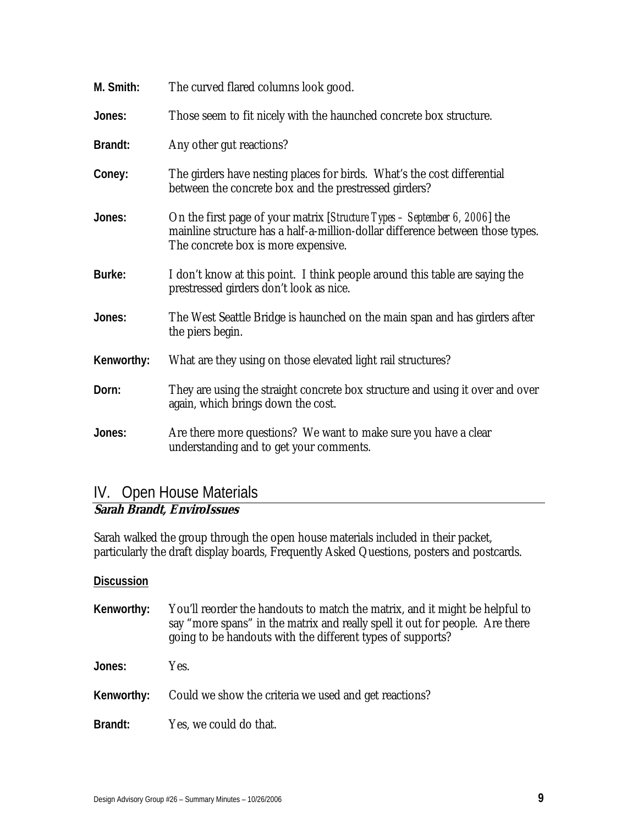| M. Smith:  | The curved flared columns look good.                                                                                                                                                                |
|------------|-----------------------------------------------------------------------------------------------------------------------------------------------------------------------------------------------------|
| Jones:     | Those seem to fit nicely with the haunched concrete box structure.                                                                                                                                  |
| Brandt:    | Any other gut reactions?                                                                                                                                                                            |
| Coney:     | The girders have nesting places for birds. What's the cost differential<br>between the concrete box and the prestressed girders?                                                                    |
| Jones:     | On the first page of your matrix [Structure Types – September 6, 2006] the<br>mainline structure has a half-a-million-dollar difference between those types.<br>The concrete box is more expensive. |
| Burke:     | I don't know at this point. I think people around this table are saying the<br>prestressed girders don't look as nice.                                                                              |
| Jones:     | The West Seattle Bridge is haunched on the main span and has girders after<br>the piers begin.                                                                                                      |
| Kenworthy: | What are they using on those elevated light rail structures?                                                                                                                                        |
| Dorn:      | They are using the straight concrete box structure and using it over and over<br>again, which brings down the cost.                                                                                 |
| Jones:     | Are there more questions? We want to make sure you have a clear<br>understanding and to get your comments.                                                                                          |

# IV. Open House Materials

#### **Sarah Brandt, EnviroIssues**

Sarah walked the group through the open house materials included in their packet, particularly the draft display boards, Frequently Asked Questions, posters and postcards.

#### **Discussion**

**Kenworthy:** You'll reorder the handouts to match the matrix, and it might be helpful to say "more spans" in the matrix and really spell it out for people. Are there going to be handouts with the different types of supports? **Jones:** Yes. **Kenworthy:** Could we show the criteria we used and get reactions? **Brandt:** Yes, we could do that.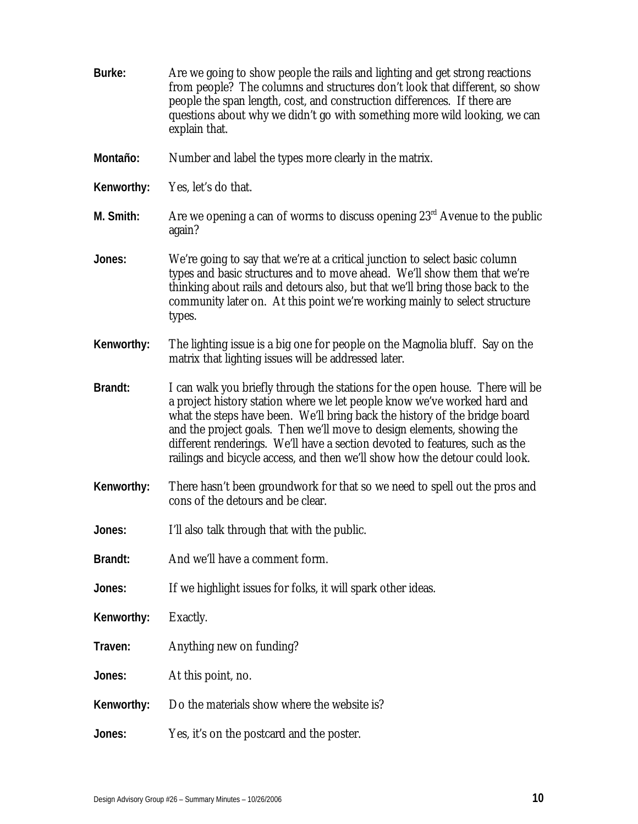| Burke:     | Are we going to show people the rails and lighting and get strong reactions<br>from people? The columns and structures don't look that different, so show<br>people the span length, cost, and construction differences. If there are<br>questions about why we didn't go with something more wild looking, we can<br>explain that.                                                                                                                                             |
|------------|---------------------------------------------------------------------------------------------------------------------------------------------------------------------------------------------------------------------------------------------------------------------------------------------------------------------------------------------------------------------------------------------------------------------------------------------------------------------------------|
| Montaño:   | Number and label the types more clearly in the matrix.                                                                                                                                                                                                                                                                                                                                                                                                                          |
| Kenworthy: | Yes, let's do that.                                                                                                                                                                                                                                                                                                                                                                                                                                                             |
| M. Smith:  | Are we opening a can of worms to discuss opening $23rd$ Avenue to the public<br>again?                                                                                                                                                                                                                                                                                                                                                                                          |
| Jones:     | We're going to say that we're at a critical junction to select basic column<br>types and basic structures and to move ahead. We'll show them that we're<br>thinking about rails and detours also, but that we'll bring those back to the<br>community later on. At this point we're working mainly to select structure<br>types.                                                                                                                                                |
| Kenworthy: | The lighting issue is a big one for people on the Magnolia bluff. Say on the<br>matrix that lighting issues will be addressed later.                                                                                                                                                                                                                                                                                                                                            |
| Brandt:    | I can walk you briefly through the stations for the open house. There will be<br>a project history station where we let people know we've worked hard and<br>what the steps have been. We'll bring back the history of the bridge board<br>and the project goals. Then we'll move to design elements, showing the<br>different renderings. We'll have a section devoted to features, such as the<br>railings and bicycle access, and then we'll show how the detour could look. |
| Kenworthy: | There hasn't been groundwork for that so we need to spell out the pros and<br>cons of the detours and be clear.                                                                                                                                                                                                                                                                                                                                                                 |
| Jones:     | I'll also talk through that with the public.                                                                                                                                                                                                                                                                                                                                                                                                                                    |
| Brandt:    | And we'll have a comment form.                                                                                                                                                                                                                                                                                                                                                                                                                                                  |
| Jones:     | If we highlight issues for folks, it will spark other ideas.                                                                                                                                                                                                                                                                                                                                                                                                                    |
| Kenworthy: | Exactly.                                                                                                                                                                                                                                                                                                                                                                                                                                                                        |
| Traven:    | Anything new on funding?                                                                                                                                                                                                                                                                                                                                                                                                                                                        |
| Jones:     | At this point, no.                                                                                                                                                                                                                                                                                                                                                                                                                                                              |
| Kenworthy: | Do the materials show where the website is?                                                                                                                                                                                                                                                                                                                                                                                                                                     |
| Jones:     | Yes, it's on the postcard and the poster.                                                                                                                                                                                                                                                                                                                                                                                                                                       |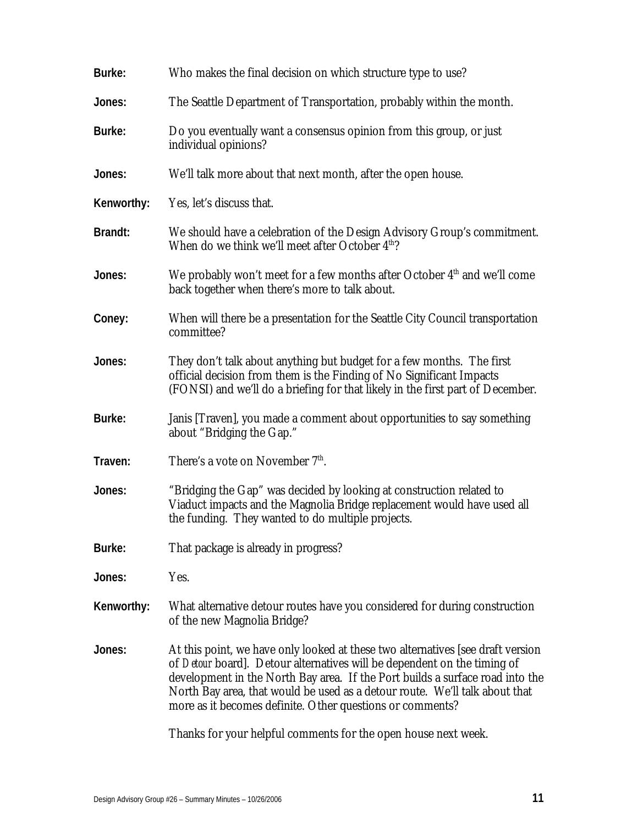| Burke:     | Who makes the final decision on which structure type to use?                                                                                                                                                                                                                                                                                                                             |
|------------|------------------------------------------------------------------------------------------------------------------------------------------------------------------------------------------------------------------------------------------------------------------------------------------------------------------------------------------------------------------------------------------|
| Jones:     | The Seattle Department of Transportation, probably within the month.                                                                                                                                                                                                                                                                                                                     |
| Burke:     | Do you eventually want a consensus opinion from this group, or just<br>individual opinions?                                                                                                                                                                                                                                                                                              |
| Jones:     | We'll talk more about that next month, after the open house.                                                                                                                                                                                                                                                                                                                             |
| Kenworthy: | Yes, let's discuss that.                                                                                                                                                                                                                                                                                                                                                                 |
| Brandt:    | We should have a celebration of the Design Advisory Group's commitment.<br>When do we think we'll meet after October $4th$ ?                                                                                                                                                                                                                                                             |
| Jones:     | We probably won't meet for a few months after October $4th$ and we'll come<br>back together when there's more to talk about.                                                                                                                                                                                                                                                             |
| Coney:     | When will there be a presentation for the Seattle City Council transportation<br>committee?                                                                                                                                                                                                                                                                                              |
| Jones:     | They don't talk about anything but budget for a few months. The first<br>official decision from them is the Finding of No Significant Impacts<br>(FONSI) and we'll do a briefing for that likely in the first part of December.                                                                                                                                                          |
| Burke:     | Janis [Traven], you made a comment about opportunities to say something<br>about "Bridging the Gap."                                                                                                                                                                                                                                                                                     |
| Traven:    | There's a vote on November 7 <sup>th</sup> .                                                                                                                                                                                                                                                                                                                                             |
| Jones:     | "Bridging the Gap" was decided by looking at construction related to<br>Viaduct impacts and the Magnolia Bridge replacement would have used all<br>the funding. They wanted to do multiple projects.                                                                                                                                                                                     |
| Burke:     | That package is already in progress?                                                                                                                                                                                                                                                                                                                                                     |
| Jones:     | Yes.                                                                                                                                                                                                                                                                                                                                                                                     |
| Kenworthy: | What alternative detour routes have you considered for during construction<br>of the new Magnolia Bridge?                                                                                                                                                                                                                                                                                |
| Jones:     | At this point, we have only looked at these two alternatives [see draft version<br>of Detour board]. Detour alternatives will be dependent on the timing of<br>development in the North Bay area. If the Port builds a surface road into the<br>North Bay area, that would be used as a detour route. We'll talk about that<br>more as it becomes definite. Other questions or comments? |
|            | Thanks for your helpful comments for the open house next week.                                                                                                                                                                                                                                                                                                                           |